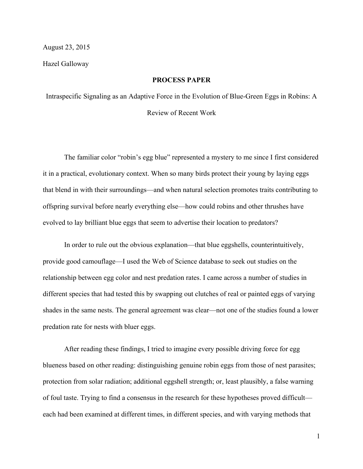## August 23, 2015

Hazel Galloway

## **PROCESS PAPER**

Intraspecific Signaling as an Adaptive Force in the Evolution of Blue-Green Eggs in Robins: A Review of Recent Work

The familiar color "robin's egg blue" represented a mystery to me since I first considered it in a practical, evolutionary context. When so many birds protect their young by laying eggs that blend in with their surroundings—and when natural selection promotes traits contributing to offspring survival before nearly everything else—how could robins and other thrushes have evolved to lay brilliant blue eggs that seem to advertise their location to predators?

In order to rule out the obvious explanation—that blue eggshells, counterintuitively, provide good camouflage—I used the Web of Science database to seek out studies on the relationship between egg color and nest predation rates. I came across a number of studies in different species that had tested this by swapping out clutches of real or painted eggs of varying shades in the same nests. The general agreement was clear—not one of the studies found a lower predation rate for nests with bluer eggs.

After reading these findings, I tried to imagine every possible driving force for egg blueness based on other reading: distinguishing genuine robin eggs from those of nest parasites; protection from solar radiation; additional eggshell strength; or, least plausibly, a false warning of foul taste. Trying to find a consensus in the research for these hypotheses proved difficult each had been examined at different times, in different species, and with varying methods that

1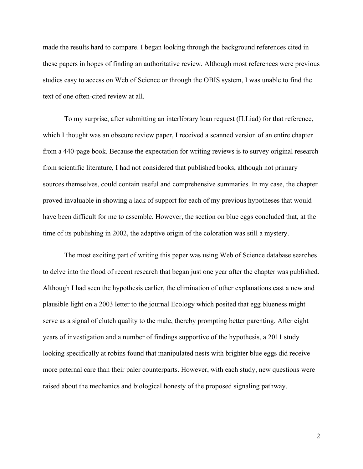made the results hard to compare. I began looking through the background references cited in these papers in hopes of finding an authoritative review. Although most references were previous studies easy to access on Web of Science or through the OBIS system, I was unable to find the text of one often-cited review at all.

To my surprise, after submitting an interlibrary loan request (ILLiad) for that reference, which I thought was an obscure review paper, I received a scanned version of an entire chapter from a 440-page book. Because the expectation for writing reviews is to survey original research from scientific literature, I had not considered that published books, although not primary sources themselves, could contain useful and comprehensive summaries. In my case, the chapter proved invaluable in showing a lack of support for each of my previous hypotheses that would have been difficult for me to assemble. However, the section on blue eggs concluded that, at the time of its publishing in 2002, the adaptive origin of the coloration was still a mystery.

The most exciting part of writing this paper was using Web of Science database searches to delve into the flood of recent research that began just one year after the chapter was published. Although I had seen the hypothesis earlier, the elimination of other explanations cast a new and plausible light on a 2003 letter to the journal Ecology which posited that egg blueness might serve as a signal of clutch quality to the male, thereby prompting better parenting. After eight years of investigation and a number of findings supportive of the hypothesis, a 2011 study looking specifically at robins found that manipulated nests with brighter blue eggs did receive more paternal care than their paler counterparts. However, with each study, new questions were raised about the mechanics and biological honesty of the proposed signaling pathway.

2